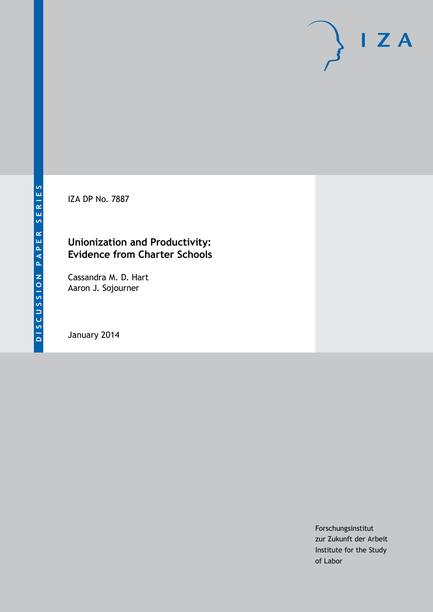IZA DP No. 7887

## **Unionization and Productivity: Evidence from Charter Schools**

Cassandra M. D. Hart Aaron J. Sojourner

January 2014

Forschungsinstitut zur Zukunft der Arbeit Institute for the Study of Labor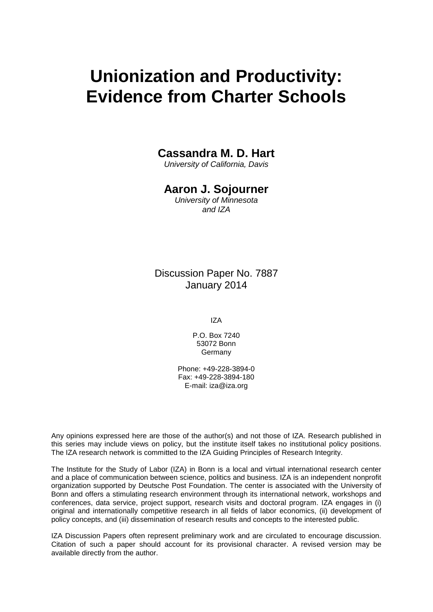# **Unionization and Productivity: Evidence from Charter Schools**

### **Cassandra M. D. Hart**

*University of California, Davis*

### **Aaron J. Sojourner**

*University of Minnesota and IZA*

Discussion Paper No. 7887 January 2014

IZA

P.O. Box 7240 53072 Bonn Germany

Phone: +49-228-3894-0 Fax: +49-228-3894-180 E-mail: [iza@iza.org](mailto:iza@iza.org)

Any opinions expressed here are those of the author(s) and not those of IZA. Research published in this series may include views on policy, but the institute itself takes no institutional policy positions. The IZA research network is committed to the IZA Guiding Principles of Research Integrity.

The Institute for the Study of Labor (IZA) in Bonn is a local and virtual international research center and a place of communication between science, politics and business. IZA is an independent nonprofit organization supported by Deutsche Post Foundation. The center is associated with the University of Bonn and offers a stimulating research environment through its international network, workshops and conferences, data service, project support, research visits and doctoral program. IZA engages in (i) original and internationally competitive research in all fields of labor economics, (ii) development of policy concepts, and (iii) dissemination of research results and concepts to the interested public.

IZA Discussion Papers often represent preliminary work and are circulated to encourage discussion. Citation of such a paper should account for its provisional character. A revised version may be available directly from the author.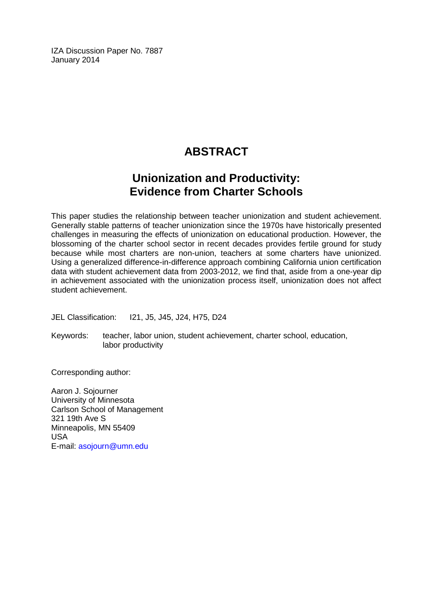IZA Discussion Paper No. 7887 January 2014

# **ABSTRACT**

# **Unionization and Productivity: Evidence from Charter Schools**

This paper studies the relationship between teacher unionization and student achievement. Generally stable patterns of teacher unionization since the 1970s have historically presented challenges in measuring the effects of unionization on educational production. However, the blossoming of the charter school sector in recent decades provides fertile ground for study because while most charters are non-union, teachers at some charters have unionized. Using a generalized difference-in-difference approach combining California union certification data with student achievement data from 2003-2012, we find that, aside from a one-year dip in achievement associated with the unionization process itself, unionization does not affect student achievement.

JEL Classification: I21, J5, J45, J24, H75, D24

Keywords: teacher, labor union, student achievement, charter school, education, labor productivity

Corresponding author:

Aaron J. Sojourner University of Minnesota Carlson School of Management 321 19th Ave S Minneapolis, MN 55409 USA E-mail: [asojourn@umn.edu](mailto:asojourn@umn.edu)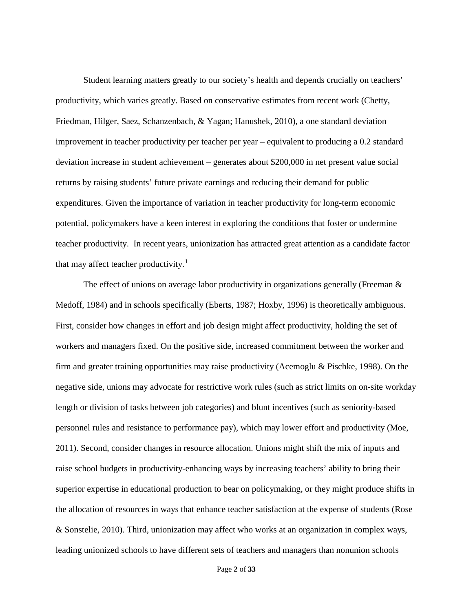Student learning matters greatly to our society's health and depends crucially on teachers' productivity, which varies greatly. Based on conservative estimates from recent work (Chetty, Friedman, Hilger, Saez, Schanzenbach, & Yagan; Hanushek, 2010), a one standard deviation improvement in teacher productivity per teacher per year – equivalent to producing a 0.2 standard deviation increase in student achievement – generates about \$200,000 in net present value social returns by raising students' future private earnings and reducing their demand for public expenditures. Given the importance of variation in teacher productivity for long-term economic potential, policymakers have a keen interest in exploring the conditions that foster or undermine teacher productivity. In recent years, unionization has attracted great attention as a candidate factor that may affect teacher productivity.<sup>[1](#page-34-0)</sup>

The effect of unions on average labor productivity in organizations generally (Freeman & Medoff, 1984) and in schools specifically (Eberts, 1987; Hoxby, 1996) is theoretically ambiguous. First, consider how changes in effort and job design might affect productivity, holding the set of workers and managers fixed. On the positive side, increased commitment between the worker and firm and greater training opportunities may raise productivity (Acemoglu & Pischke, 1998). On the negative side, unions may advocate for restrictive work rules (such as strict limits on on-site workday length or division of tasks between job categories) and blunt incentives (such as seniority-based personnel rules and resistance to performance pay), which may lower effort and productivity (Moe, 2011). Second, consider changes in resource allocation. Unions might shift the mix of inputs and raise school budgets in productivity-enhancing ways by increasing teachers' ability to bring their superior expertise in educational production to bear on policymaking, or they might produce shifts in the allocation of resources in ways that enhance teacher satisfaction at the expense of students (Rose & Sonstelie, 2010). Third, unionization may affect who works at an organization in complex ways, leading unionized schools to have different sets of teachers and managers than nonunion schools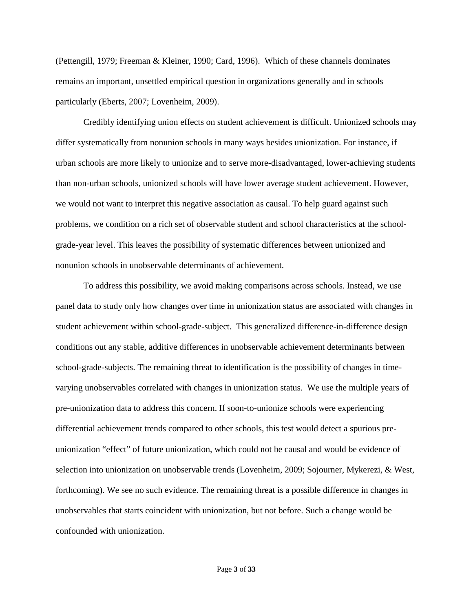(Pettengill, 1979; Freeman & Kleiner, 1990; Card, 1996). Which of these channels dominates remains an important, unsettled empirical question in organizations generally and in schools particularly (Eberts, 2007; Lovenheim, 2009).

Credibly identifying union effects on student achievement is difficult. Unionized schools may differ systematically from nonunion schools in many ways besides unionization. For instance, if urban schools are more likely to unionize and to serve more-disadvantaged, lower-achieving students than non-urban schools, unionized schools will have lower average student achievement. However, we would not want to interpret this negative association as causal. To help guard against such problems, we condition on a rich set of observable student and school characteristics at the schoolgrade-year level. This leaves the possibility of systematic differences between unionized and nonunion schools in unobservable determinants of achievement.

To address this possibility, we avoid making comparisons across schools. Instead, we use panel data to study only how changes over time in unionization status are associated with changes in student achievement within school-grade-subject. This generalized difference-in-difference design conditions out any stable, additive differences in unobservable achievement determinants between school-grade-subjects. The remaining threat to identification is the possibility of changes in timevarying unobservables correlated with changes in unionization status. We use the multiple years of pre-unionization data to address this concern. If soon-to-unionize schools were experiencing differential achievement trends compared to other schools, this test would detect a spurious preunionization "effect" of future unionization, which could not be causal and would be evidence of selection into unionization on unobservable trends (Lovenheim, 2009; Sojourner, Mykerezi, & West, forthcoming). We see no such evidence. The remaining threat is a possible difference in changes in unobservables that starts coincident with unionization, but not before. Such a change would be confounded with unionization.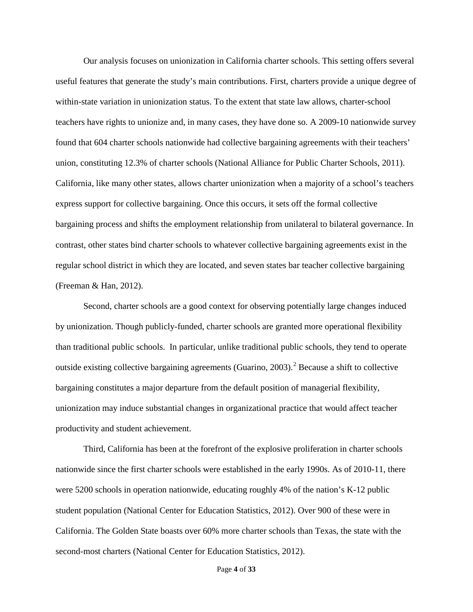Our analysis focuses on unionization in California charter schools. This setting offers several useful features that generate the study's main contributions. First, charters provide a unique degree of within-state variation in unionization status. To the extent that state law allows, charter-school teachers have rights to unionize and, in many cases, they have done so. A 2009-10 nationwide survey found that 604 charter schools nationwide had collective bargaining agreements with their teachers' union, constituting 12.3% of charter schools (National Alliance for Public Charter Schools, 2011). California, like many other states, allows charter unionization when a majority of a school's teachers express support for collective bargaining. Once this occurs, it sets off the formal collective bargaining process and shifts the employment relationship from unilateral to bilateral governance. In contrast, other states bind charter schools to whatever collective bargaining agreements exist in the regular school district in which they are located, and seven states bar teacher collective bargaining (Freeman & Han, 2012).

Second, charter schools are a good context for observing potentially large changes induced by unionization. Though publicly-funded, charter schools are granted more operational flexibility than traditional public schools. In particular, unlike traditional public schools, they tend to operate outside existing collective bargaining agreements (Guarino, 2003). [2](#page-34-1) Because a shift to collective bargaining constitutes a major departure from the default position of managerial flexibility, unionization may induce substantial changes in organizational practice that would affect teacher productivity and student achievement.

Third, California has been at the forefront of the explosive proliferation in charter schools nationwide since the first charter schools were established in the early 1990s. As of 2010-11, there were 5200 schools in operation nationwide, educating roughly 4% of the nation's K-12 public student population (National Center for Education Statistics, 2012). Over 900 of these were in California. The Golden State boasts over 60% more charter schools than Texas, the state with the second-most charters (National Center for Education Statistics, 2012).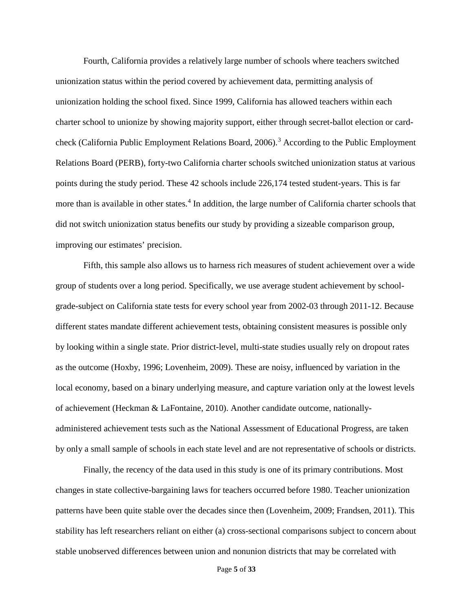Fourth, California provides a relatively large number of schools where teachers switched unionization status within the period covered by achievement data, permitting analysis of unionization holding the school fixed. Since 1999, California has allowed teachers within each charter school to unionize by showing majority support, either through secret-ballot election or cardcheck (California Public Employment Relations Board, 2006). [3](#page-34-2) According to the Public Employment Relations Board (PERB), forty-two California charter schools switched unionization status at various points during the study period. These 42 schools include 226,174 tested student-years. This is far more than is available in other states.<sup>[4](#page-34-3)</sup> In addition, the large number of California charter schools that did not switch unionization status benefits our study by providing a sizeable comparison group, improving our estimates' precision.

Fifth, this sample also allows us to harness rich measures of student achievement over a wide group of students over a long period. Specifically, we use average student achievement by schoolgrade-subject on California state tests for every school year from 2002-03 through 2011-12. Because different states mandate different achievement tests, obtaining consistent measures is possible only by looking within a single state. Prior district-level, multi-state studies usually rely on dropout rates as the outcome (Hoxby, 1996; Lovenheim, 2009). These are noisy, influenced by variation in the local economy, based on a binary underlying measure, and capture variation only at the lowest levels of achievement (Heckman & LaFontaine, 2010). Another candidate outcome, nationallyadministered achievement tests such as the National Assessment of Educational Progress, are taken by only a small sample of schools in each state level and are not representative of schools or districts.

Finally, the recency of the data used in this study is one of its primary contributions. Most changes in state collective-bargaining laws for teachers occurred before 1980. Teacher unionization patterns have been quite stable over the decades since then (Lovenheim, 2009; Frandsen, 2011). This stability has left researchers reliant on either (a) cross-sectional comparisons subject to concern about stable unobserved differences between union and nonunion districts that may be correlated with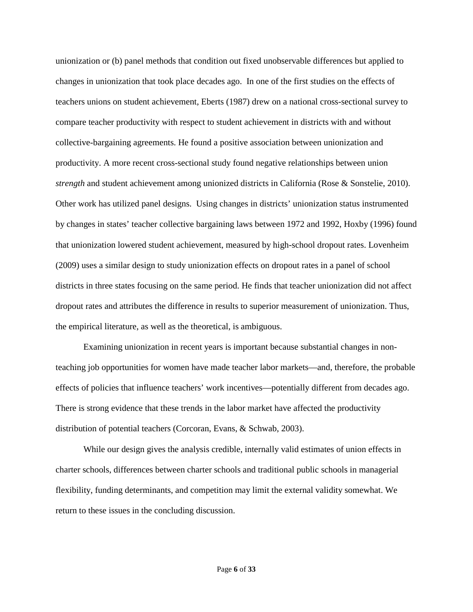unionization or (b) panel methods that condition out fixed unobservable differences but applied to changes in unionization that took place decades ago. In one of the first studies on the effects of teachers unions on student achievement, Eberts (1987) drew on a national cross-sectional survey to compare teacher productivity with respect to student achievement in districts with and without collective-bargaining agreements. He found a positive association between unionization and productivity. A more recent cross-sectional study found negative relationships between union *strength* and student achievement among unionized districts in California (Rose & Sonstelie, 2010). Other work has utilized panel designs. Using changes in districts' unionization status instrumented by changes in states' teacher collective bargaining laws between 1972 and 1992, Hoxby (1996) found that unionization lowered student achievement, measured by high-school dropout rates. Lovenheim (2009) uses a similar design to study unionization effects on dropout rates in a panel of school districts in three states focusing on the same period. He finds that teacher unionization did not affect dropout rates and attributes the difference in results to superior measurement of unionization. Thus, the empirical literature, as well as the theoretical, is ambiguous.

Examining unionization in recent years is important because substantial changes in nonteaching job opportunities for women have made teacher labor markets—and, therefore, the probable effects of policies that influence teachers' work incentives—potentially different from decades ago. There is strong evidence that these trends in the labor market have affected the productivity distribution of potential teachers (Corcoran, Evans, & Schwab, 2003).

While our design gives the analysis credible, internally valid estimates of union effects in charter schools, differences between charter schools and traditional public schools in managerial flexibility, funding determinants, and competition may limit the external validity somewhat. We return to these issues in the concluding discussion.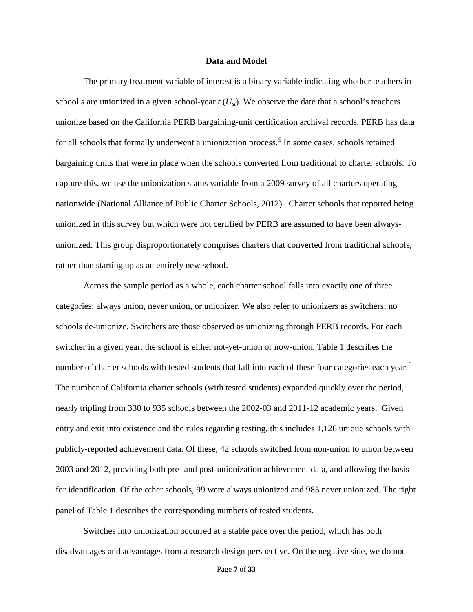#### **Data and Model**

The primary treatment variable of interest is a binary variable indicating whether teachers in school *s* are unionized in a given school-year  $t$  ( $U_{st}$ ). We observe the date that a school's teachers unionize based on the California PERB bargaining-unit certification archival records. PERB has data for all schools that formally underwent a unionization process.<sup>[5](#page-34-4)</sup> In some cases, schools retained bargaining units that were in place when the schools converted from traditional to charter schools. To capture this, we use the unionization status variable from a 2009 survey of all charters operating nationwide (National Alliance of Public Charter Schools, 2012). Charter schools that reported being unionized in this survey but which were not certified by PERB are assumed to have been alwaysunionized. This group disproportionately comprises charters that converted from traditional schools, rather than starting up as an entirely new school.

Across the sample period as a whole, each charter school falls into exactly one of three categories: always union, never union, or unionizer. We also refer to unionizers as switchers; no schools de-unionize. Switchers are those observed as unionizing through PERB records. For each switcher in a given year, the school is either not-yet-union or now-union. Table 1 describes the number of charter schools with tested students that fall into each of these four categories each year.<sup>[6](#page-34-5)</sup> The number of California charter schools (with tested students) expanded quickly over the period, nearly tripling from 330 to 935 schools between the 2002-03 and 2011-12 academic years. Given entry and exit into existence and the rules regarding testing, this includes 1,126 unique schools with publicly-reported achievement data. Of these, 42 schools switched from non-union to union between 2003 and 2012, providing both pre- and post-unionization achievement data, and allowing the basis for identification. Of the other schools, 99 were always unionized and 985 never unionized. The right panel of Table 1 describes the corresponding numbers of tested students.

Switches into unionization occurred at a stable pace over the period, which has both disadvantages and advantages from a research design perspective. On the negative side, we do not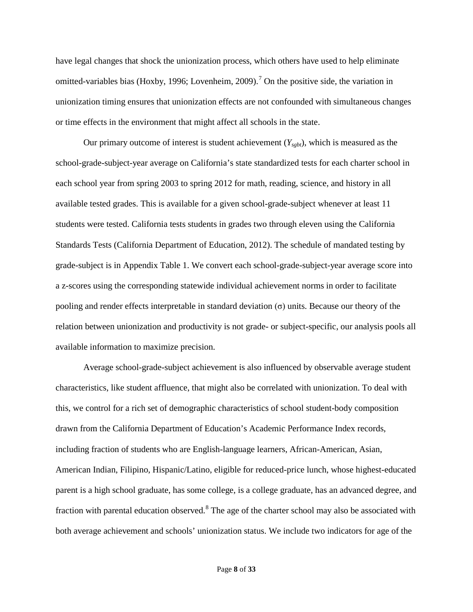have legal changes that shock the unionization process, which others have used to help eliminate omitted-variables bias (Hoxby, 1996; Lovenheim, 2009).<sup>[7](#page-34-6)</sup> On the positive side, the variation in unionization timing ensures that unionization effects are not confounded with simultaneous changes or time effects in the environment that might affect all schools in the state.

Our primary outcome of interest is student achievement  $(Y_{sgbt})$ , which is measured as the school-grade-subject-year average on California's state standardized tests for each charter school in each school year from spring 2003 to spring 2012 for math, reading, science, and history in all available tested grades. This is available for a given school-grade-subject whenever at least 11 students were tested. California tests students in grades two through eleven using the California Standards Tests (California Department of Education, 2012). The schedule of mandated testing by grade-subject is in Appendix Table 1. We convert each school-grade-subject-year average score into a z-scores using the corresponding statewide individual achievement norms in order to facilitate pooling and render effects interpretable in standard deviation (σ) units. Because our theory of the relation between unionization and productivity is not grade- or subject-specific, our analysis pools all available information to maximize precision.

Average school-grade-subject achievement is also influenced by observable average student characteristics, like student affluence, that might also be correlated with unionization. To deal with this, we control for a rich set of demographic characteristics of school student-body composition drawn from the California Department of Education's Academic Performance Index records, including fraction of students who are English-language learners, African-American, Asian, American Indian, Filipino, Hispanic/Latino, eligible for reduced-price lunch, whose highest-educated parent is a high school graduate, has some college, is a college graduate, has an advanced degree, and fraction with parental education observed.[8](#page-34-7) The age of the charter school may also be associated with both average achievement and schools' unionization status. We include two indicators for age of the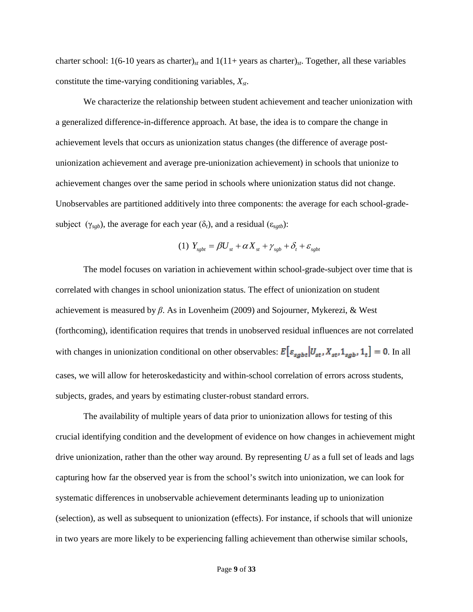charter school: 1(6-10 years as charter)*st* and 1(11+ years as charter)*st*. Together, all these variables constitute the time-varying conditioning variables, *Xst*.

We characterize the relationship between student achievement and teacher unionization with a generalized difference-in-difference approach. At base, the idea is to compare the change in achievement levels that occurs as unionization status changes (the difference of average postunionization achievement and average pre-unionization achievement) in schools that unionize to achievement changes over the same period in schools where unionization status did not change. Unobservables are partitioned additively into three components: the average for each school-gradesubject ( $\gamma_{sgb}$ ), the average for each year ( $\delta_t$ ), and a residual ( $\varepsilon_{sgt}$ ):

(1) 
$$
Y_{sgbt} = \beta U_{st} + \alpha X_{st} + \gamma_{sgb} + \delta_t + \varepsilon_{sgbt}
$$

The model focuses on variation in achievement within school-grade-subject over time that is correlated with changes in school unionization status. The effect of unionization on student achievement is measured by *β*. As in Lovenheim (2009) and Sojourner, Mykerezi, & West (forthcoming), identification requires that trends in unobserved residual influences are not correlated with changes in unionization conditional on other observables:  $E\left[\varepsilon_{sgbt} | U_{st} , X_{st} , 1_{sgb} , 1_t\right] = 0$ . In all cases, we will allow for heteroskedasticity and within-school correlation of errors across students, subjects, grades, and years by estimating cluster-robust standard errors.

The availability of multiple years of data prior to unionization allows for testing of this crucial identifying condition and the development of evidence on how changes in achievement might drive unionization, rather than the other way around. By representing *U* as a full set of leads and lags capturing how far the observed year is from the school's switch into unionization, we can look for systematic differences in unobservable achievement determinants leading up to unionization (selection), as well as subsequent to unionization (effects). For instance, if schools that will unionize in two years are more likely to be experiencing falling achievement than otherwise similar schools,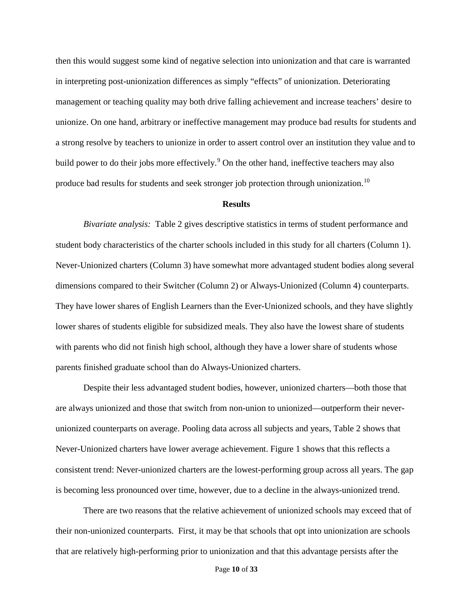then this would suggest some kind of negative selection into unionization and that care is warranted in interpreting post-unionization differences as simply "effects" of unionization. Deteriorating management or teaching quality may both drive falling achievement and increase teachers' desire to unionize. On one hand, arbitrary or ineffective management may produce bad results for students and a strong resolve by teachers to unionize in order to assert control over an institution they value and to build power to do their jobs more effectively.<sup>[9](#page-34-8)</sup> On the other hand, ineffective teachers may also produce bad results for students and seek stronger job protection through unionization.<sup>[10](#page-34-9)</sup>

#### **Results**

*Bivariate analysis:* Table 2 gives descriptive statistics in terms of student performance and student body characteristics of the charter schools included in this study for all charters (Column 1). Never-Unionized charters (Column 3) have somewhat more advantaged student bodies along several dimensions compared to their Switcher (Column 2) or Always-Unionized (Column 4) counterparts. They have lower shares of English Learners than the Ever-Unionized schools, and they have slightly lower shares of students eligible for subsidized meals. They also have the lowest share of students with parents who did not finish high school, although they have a lower share of students whose parents finished graduate school than do Always-Unionized charters.

Despite their less advantaged student bodies, however, unionized charters—both those that are always unionized and those that switch from non-union to unionized—outperform their neverunionized counterparts on average. Pooling data across all subjects and years, Table 2 shows that Never-Unionized charters have lower average achievement. Figure 1 shows that this reflects a consistent trend: Never-unionized charters are the lowest-performing group across all years. The gap is becoming less pronounced over time, however, due to a decline in the always-unionized trend.

There are two reasons that the relative achievement of unionized schools may exceed that of their non-unionized counterparts. First, it may be that schools that opt into unionization are schools that are relatively high-performing prior to unionization and that this advantage persists after the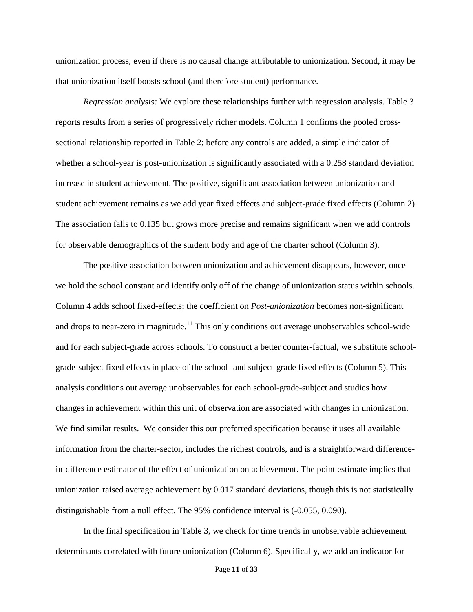unionization process, even if there is no causal change attributable to unionization. Second, it may be that unionization itself boosts school (and therefore student) performance.

*Regression analysis:* We explore these relationships further with regression analysis. Table 3 reports results from a series of progressively richer models. Column 1 confirms the pooled crosssectional relationship reported in Table 2; before any controls are added, a simple indicator of whether a school-year is post-unionization is significantly associated with a 0.258 standard deviation increase in student achievement. The positive, significant association between unionization and student achievement remains as we add year fixed effects and subject-grade fixed effects (Column 2). The association falls to 0.135 but grows more precise and remains significant when we add controls for observable demographics of the student body and age of the charter school (Column 3).

The positive association between unionization and achievement disappears, however, once we hold the school constant and identify only off of the change of unionization status within schools. Column 4 adds school fixed-effects; the coefficient on *Post-unionization* becomes non-significant and drops to near-zero in magnitude.<sup>[11](#page-34-10)</sup> This only conditions out average unobservables school-wide and for each subject-grade across schools. To construct a better counter-factual, we substitute schoolgrade-subject fixed effects in place of the school- and subject-grade fixed effects (Column 5). This analysis conditions out average unobservables for each school-grade-subject and studies how changes in achievement within this unit of observation are associated with changes in unionization. We find similar results. We consider this our preferred specification because it uses all available information from the charter-sector, includes the richest controls, and is a straightforward differencein-difference estimator of the effect of unionization on achievement. The point estimate implies that unionization raised average achievement by 0.017 standard deviations, though this is not statistically distinguishable from a null effect. The 95% confidence interval is (-0.055, 0.090).

In the final specification in Table 3, we check for time trends in unobservable achievement determinants correlated with future unionization (Column 6). Specifically, we add an indicator for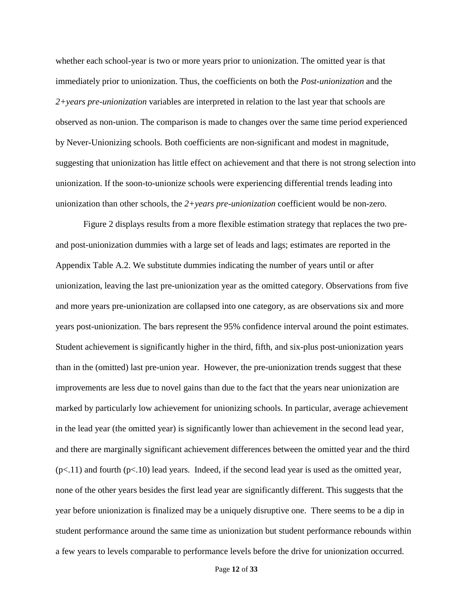whether each school-year is two or more years prior to unionization. The omitted year is that immediately prior to unionization. Thus, the coefficients on both the *Post-unionization* and the *2+years pre-unionization* variables are interpreted in relation to the last year that schools are observed as non-union. The comparison is made to changes over the same time period experienced by Never-Unionizing schools. Both coefficients are non-significant and modest in magnitude, suggesting that unionization has little effect on achievement and that there is not strong selection into unionization. If the soon-to-unionize schools were experiencing differential trends leading into unionization than other schools, the *2+years pre-unionization* coefficient would be non-zero.

Figure 2 displays results from a more flexible estimation strategy that replaces the two preand post-unionization dummies with a large set of leads and lags; estimates are reported in the Appendix Table A.2. We substitute dummies indicating the number of years until or after unionization, leaving the last pre-unionization year as the omitted category. Observations from five and more years pre-unionization are collapsed into one category, as are observations six and more years post-unionization. The bars represent the 95% confidence interval around the point estimates. Student achievement is significantly higher in the third, fifth, and six-plus post-unionization years than in the (omitted) last pre-union year. However, the pre-unionization trends suggest that these improvements are less due to novel gains than due to the fact that the years near unionization are marked by particularly low achievement for unionizing schools. In particular, average achievement in the lead year (the omitted year) is significantly lower than achievement in the second lead year, and there are marginally significant achievement differences between the omitted year and the third  $(p<.11)$  and fourth  $(p<.10)$  lead years. Indeed, if the second lead year is used as the omitted year, none of the other years besides the first lead year are significantly different. This suggests that the year before unionization is finalized may be a uniquely disruptive one. There seems to be a dip in student performance around the same time as unionization but student performance rebounds within a few years to levels comparable to performance levels before the drive for unionization occurred.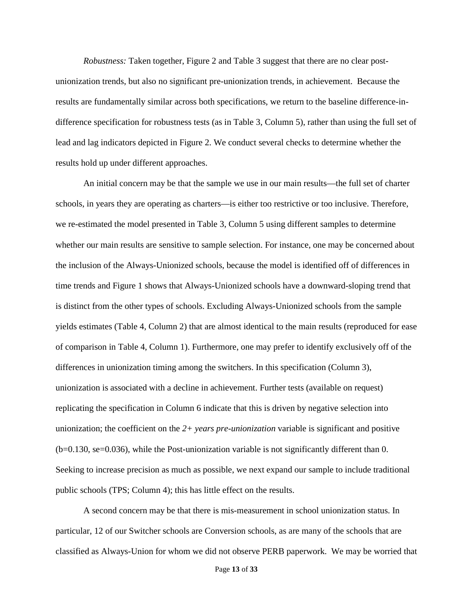*Robustness:* Taken together, Figure 2 and Table 3 suggest that there are no clear postunionization trends, but also no significant pre-unionization trends, in achievement. Because the results are fundamentally similar across both specifications, we return to the baseline difference-indifference specification for robustness tests (as in Table 3, Column 5), rather than using the full set of lead and lag indicators depicted in Figure 2. We conduct several checks to determine whether the results hold up under different approaches.

An initial concern may be that the sample we use in our main results—the full set of charter schools, in years they are operating as charters—is either too restrictive or too inclusive. Therefore, we re-estimated the model presented in Table 3, Column 5 using different samples to determine whether our main results are sensitive to sample selection. For instance, one may be concerned about the inclusion of the Always-Unionized schools, because the model is identified off of differences in time trends and Figure 1 shows that Always-Unionized schools have a downward-sloping trend that is distinct from the other types of schools. Excluding Always-Unionized schools from the sample yields estimates (Table 4, Column 2) that are almost identical to the main results (reproduced for ease of comparison in Table 4, Column 1). Furthermore, one may prefer to identify exclusively off of the differences in unionization timing among the switchers. In this specification (Column 3), unionization is associated with a decline in achievement. Further tests (available on request) replicating the specification in Column 6 indicate that this is driven by negative selection into unionization; the coefficient on the *2+ years pre-unionization* variable is significant and positive (b=0.130, se=0.036), while the Post-unionization variable is not significantly different than 0. Seeking to increase precision as much as possible, we next expand our sample to include traditional public schools (TPS; Column 4); this has little effect on the results.

A second concern may be that there is mis-measurement in school unionization status. In particular, 12 of our Switcher schools are Conversion schools, as are many of the schools that are classified as Always-Union for whom we did not observe PERB paperwork. We may be worried that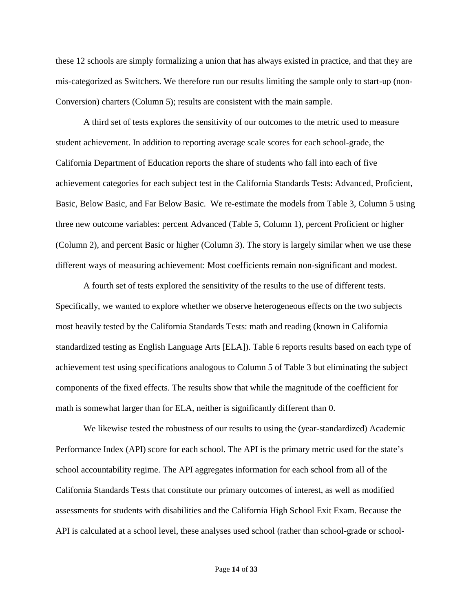these 12 schools are simply formalizing a union that has always existed in practice, and that they are mis-categorized as Switchers. We therefore run our results limiting the sample only to start-up (non-Conversion) charters (Column 5); results are consistent with the main sample.

A third set of tests explores the sensitivity of our outcomes to the metric used to measure student achievement. In addition to reporting average scale scores for each school-grade, the California Department of Education reports the share of students who fall into each of five achievement categories for each subject test in the California Standards Tests: Advanced, Proficient, Basic, Below Basic, and Far Below Basic. We re-estimate the models from Table 3, Column 5 using three new outcome variables: percent Advanced (Table 5, Column 1), percent Proficient or higher (Column 2), and percent Basic or higher (Column 3). The story is largely similar when we use these different ways of measuring achievement: Most coefficients remain non-significant and modest.

A fourth set of tests explored the sensitivity of the results to the use of different tests. Specifically, we wanted to explore whether we observe heterogeneous effects on the two subjects most heavily tested by the California Standards Tests: math and reading (known in California standardized testing as English Language Arts [ELA]). Table 6 reports results based on each type of achievement test using specifications analogous to Column 5 of Table 3 but eliminating the subject components of the fixed effects. The results show that while the magnitude of the coefficient for math is somewhat larger than for ELA, neither is significantly different than 0.

We likewise tested the robustness of our results to using the (year-standardized) Academic Performance Index (API) score for each school. The API is the primary metric used for the state's school accountability regime. The API aggregates information for each school from all of the California Standards Tests that constitute our primary outcomes of interest, as well as modified assessments for students with disabilities and the California High School Exit Exam. Because the API is calculated at a school level, these analyses used school (rather than school-grade or school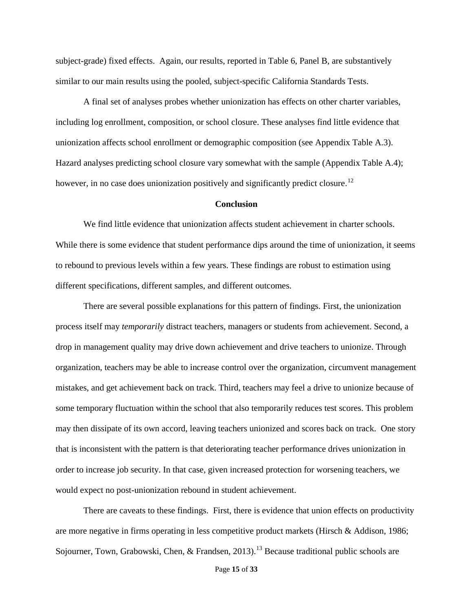subject-grade) fixed effects. Again, our results, reported in Table 6, Panel B, are substantively similar to our main results using the pooled, subject-specific California Standards Tests.

A final set of analyses probes whether unionization has effects on other charter variables, including log enrollment, composition, or school closure. These analyses find little evidence that unionization affects school enrollment or demographic composition (see Appendix Table A.3). Hazard analyses predicting school closure vary somewhat with the sample (Appendix Table A.4); however, in no case does unionization positively and significantly predict closure.<sup>[12](#page-34-11)</sup>

#### **Conclusion**

We find little evidence that unionization affects student achievement in charter schools. While there is some evidence that student performance dips around the time of unionization, it seems to rebound to previous levels within a few years. These findings are robust to estimation using different specifications, different samples, and different outcomes.

There are several possible explanations for this pattern of findings. First, the unionization process itself may *temporarily* distract teachers, managers or students from achievement. Second, a drop in management quality may drive down achievement and drive teachers to unionize. Through organization, teachers may be able to increase control over the organization, circumvent management mistakes, and get achievement back on track. Third, teachers may feel a drive to unionize because of some temporary fluctuation within the school that also temporarily reduces test scores. This problem may then dissipate of its own accord, leaving teachers unionized and scores back on track. One story that is inconsistent with the pattern is that deteriorating teacher performance drives unionization in order to increase job security. In that case, given increased protection for worsening teachers, we would expect no post-unionization rebound in student achievement.

There are caveats to these findings. First, there is evidence that union effects on productivity are more negative in firms operating in less competitive product markets (Hirsch & Addison, 1986; Sojourner, Town, Grabowski, Chen, & Frandsen, 20[13](#page-34-12)).<sup>13</sup> Because traditional public schools are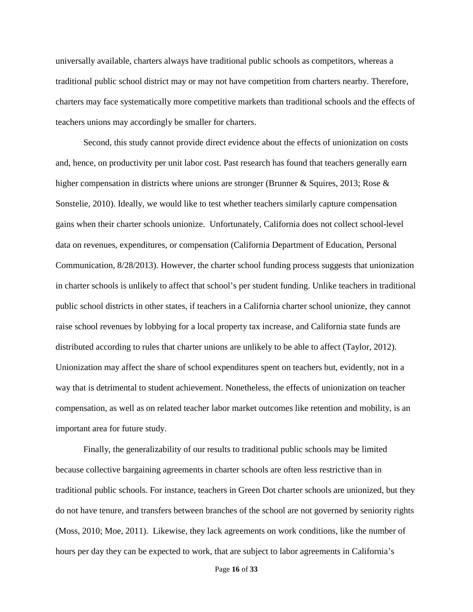universally available, charters always have traditional public schools as competitors, whereas a traditional public school district may or may not have competition from charters nearby. Therefore, charters may face systematically more competitive markets than traditional schools and the effects of teachers unions may accordingly be smaller for charters.

Second, this study cannot provide direct evidence about the effects of unionization on costs and, hence, on productivity per unit labor cost. Past research has found that teachers generally earn higher compensation in districts where unions are stronger (Brunner & Squires, 2013; Rose & Sonstelie, 2010). Ideally, we would like to test whether teachers similarly capture compensation gains when their charter schools unionize. Unfortunately, California does not collect school-level data on revenues, expenditures, or compensation (California Department of Education, Personal Communication, 8/28/2013). However, the charter school funding process suggests that unionization in charter schools is unlikely to affect that school's per student funding. Unlike teachers in traditional public school districts in other states, if teachers in a California charter school unionize, they cannot raise school revenues by lobbying for a local property tax increase, and California state funds are distributed according to rules that charter unions are unlikely to be able to affect (Taylor, 2012). Unionization may affect the share of school expenditures spent on teachers but, evidently, not in a way that is detrimental to student achievement. Nonetheless, the effects of unionization on teacher compensation, as well as on related teacher labor market outcomes like retention and mobility, is an important area for future study.

Finally, the generalizability of our results to traditional public schools may be limited because collective bargaining agreements in charter schools are often less restrictive than in traditional public schools. For instance, teachers in Green Dot charter schools are unionized, but they do not have tenure, and transfers between branches of the school are not governed by seniority rights (Moss, 2010; Moe, 2011). Likewise, they lack agreements on work conditions, like the number of hours per day they can be expected to work, that are subject to labor agreements in California's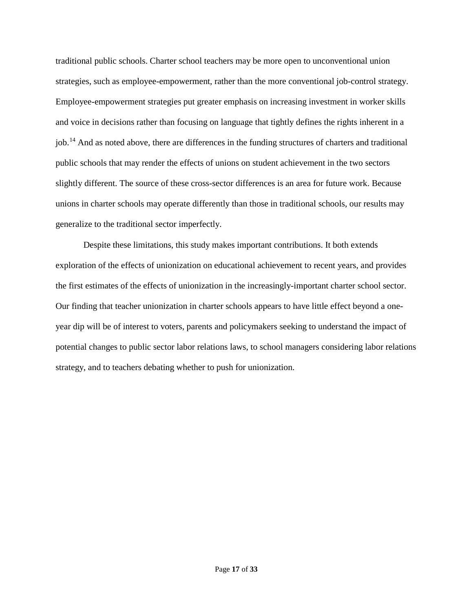traditional public schools. Charter school teachers may be more open to unconventional union strategies, such as employee-empowerment, rather than the more conventional job-control strategy. Employee-empowerment strategies put greater emphasis on increasing investment in worker skills and voice in decisions rather than focusing on language that tightly defines the rights inherent in a job.[14](#page-34-13) And as noted above, there are differences in the funding structures of charters and traditional public schools that may render the effects of unions on student achievement in the two sectors slightly different. The source of these cross-sector differences is an area for future work. Because unions in charter schools may operate differently than those in traditional schools, our results may generalize to the traditional sector imperfectly.

Despite these limitations, this study makes important contributions. It both extends exploration of the effects of unionization on educational achievement to recent years, and provides the first estimates of the effects of unionization in the increasingly-important charter school sector. Our finding that teacher unionization in charter schools appears to have little effect beyond a oneyear dip will be of interest to voters, parents and policymakers seeking to understand the impact of potential changes to public sector labor relations laws, to school managers considering labor relations strategy, and to teachers debating whether to push for unionization.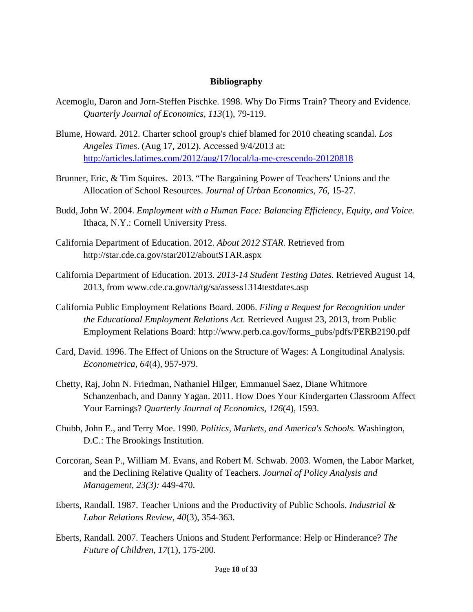#### **Bibliography**

- Acemoglu, Daron and Jorn-Steffen Pischke. 1998. Why Do Firms Train? Theory and Evidence. *Quarterly Journal of Economics, 113*(1), 79-119.
- Blume, Howard. 2012. Charter school group's chief blamed for 2010 cheating scandal. *Los Angeles Times*. (Aug 17, 2012). Accessed 9/4/2013 at: <http://articles.latimes.com/2012/aug/17/local/la-me-crescendo-20120818>
- Brunner, Eric, & Tim Squires. 2013. "The Bargaining Power of Teachers' Unions and the Allocation of School Resources. *Journal of Urban Economics, 76*, 15-27.
- Budd, John W. 2004. *Employment with a Human Face: Balancing Efficiency, Equity, and Voice.* Ithaca, N.Y.: Cornell University Press.
- California Department of Education. 2012. *About 2012 STAR.* Retrieved from http://star.cde.ca.gov/star2012/aboutSTAR.aspx
- California Department of Education. 2013. *2013-14 Student Testing Dates.* Retrieved August 14, 2013, from www.cde.ca.gov/ta/tg/sa/assess1314testdates.asp
- California Public Employment Relations Board. 2006. *Filing a Request for Recognition under the Educational Employment Relations Act.* Retrieved August 23, 2013, from Public Employment Relations Board: http://www.perb.ca.gov/forms\_pubs/pdfs/PERB2190.pdf
- Card, David. 1996. The Effect of Unions on the Structure of Wages: A Longitudinal Analysis. *Econometrica, 64*(4), 957-979.
- Chetty, Raj, John N. Friedman, Nathaniel Hilger, Emmanuel Saez, Diane Whitmore Schanzenbach, and Danny Yagan. 2011. How Does Your Kindergarten Classroom Affect Your Earnings? *Quarterly Journal of Economics, 126*(4), 1593.
- Chubb, John E., and Terry Moe. 1990. *Politics, Markets, and America's Schools.* Washington, D.C.: The Brookings Institution.
- Corcoran, Sean P., William M. Evans, and Robert M. Schwab. 2003. Women, the Labor Market, and the Declining Relative Quality of Teachers. *Journal of Policy Analysis and Management, 23(3):* 449-470.
- Eberts, Randall. 1987. Teacher Unions and the Productivity of Public Schools. *Industrial & Labor Relations Review, 40*(3), 354-363.
- Eberts, Randall. 2007. Teachers Unions and Student Performance: Help or Hinderance? *The Future of Children, 17*(1), 175-200.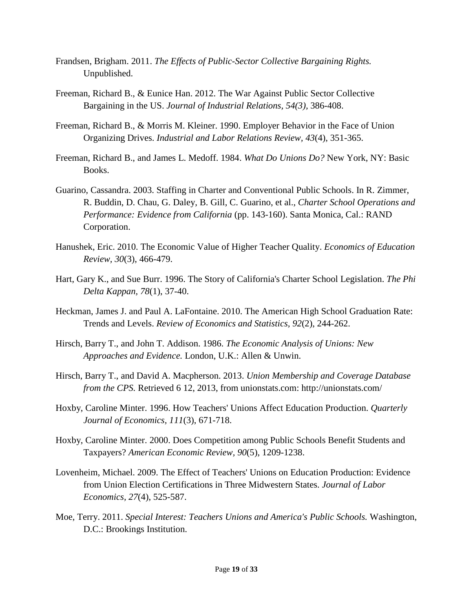- Frandsen, Brigham. 2011. *The Effects of Public-Sector Collective Bargaining Rights.* Unpublished.
- Freeman, Richard B., & Eunice Han. 2012. The War Against Public Sector Collective Bargaining in the US. *Journal of Industrial Relations, 54(3),* 386-408.
- Freeman, Richard B., & Morris M. Kleiner. 1990. Employer Behavior in the Face of Union Organizing Drives. *Industrial and Labor Relations Review, 43*(4), 351-365.
- Freeman, Richard B., and James L. Medoff. 1984. *What Do Unions Do?* New York, NY: Basic Books.
- Guarino, Cassandra. 2003. Staffing in Charter and Conventional Public Schools. In R. Zimmer, R. Buddin, D. Chau, G. Daley, B. Gill, C. Guarino, et al., *Charter School Operations and Performance: Evidence from California* (pp. 143-160). Santa Monica, Cal.: RAND Corporation.
- Hanushek, Eric. 2010. The Economic Value of Higher Teacher Quality. *Economics of Education Review, 30*(3), 466-479.
- Hart, Gary K., and Sue Burr. 1996. The Story of California's Charter School Legislation. *The Phi Delta Kappan, 78*(1), 37-40.
- Heckman, James J. and Paul A. LaFontaine. 2010. The American High School Graduation Rate: Trends and Levels. *Review of Economics and Statistics, 92*(2), 244-262.
- Hirsch, Barry T., and John T. Addison. 1986. *The Economic Analysis of Unions: New Approaches and Evidence.* London, U.K.: Allen & Unwin.
- Hirsch, Barry T., and David A. Macpherson. 2013. *Union Membership and Coverage Database from the CPS.* Retrieved 6 12, 2013, from unionstats.com: http://unionstats.com/
- Hoxby, Caroline Minter. 1996. How Teachers' Unions Affect Education Production. *Quarterly Journal of Economics, 111*(3), 671-718.
- Hoxby, Caroline Minter. 2000. Does Competition among Public Schools Benefit Students and Taxpayers? *American Economic Review, 90*(5), 1209-1238.
- Lovenheim, Michael. 2009. The Effect of Teachers' Unions on Education Production: Evidence from Union Election Certifications in Three Midwestern States. *Journal of Labor Economics, 27*(4), 525-587.
- Moe, Terry. 2011. *Special Interest: Teachers Unions and America's Public Schools.* Washington, D.C.: Brookings Institution.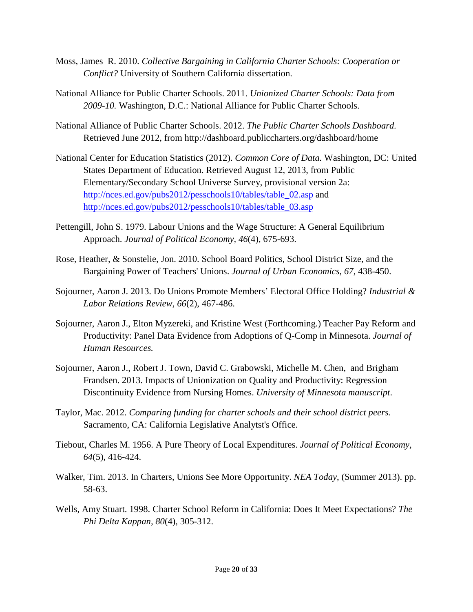- Moss, James R. 2010. *Collective Bargaining in California Charter Schools: Cooperation or Conflict?* University of Southern California dissertation.
- National Alliance for Public Charter Schools. 2011. *Unionized Charter Schools: Data from 2009-10.* Washington, D.C.: National Alliance for Public Charter Schools.
- National Alliance of Public Charter Schools. 2012. *The Public Charter Schools Dashboard.* Retrieved June 2012, from http://dashboard.publiccharters.org/dashboard/home
- National Center for Education Statistics (2012). *Common Core of Data.* Washington, DC: United States Department of Education. Retrieved August 12, 2013, from Public Elementary/Secondary School Universe Survey, provisional version 2a: [http://nces.ed.gov/pubs2012/pesschools10/tables/table\\_02.asp](http://nces.ed.gov/pubs2012/pesschools10/tables/table_02.asp) and [http://nces.ed.gov/pubs2012/pesschools10/tables/table\\_03.asp](http://nces.ed.gov/pubs2012/pesschools10/tables/table_03.asp)
- Pettengill, John S. 1979. Labour Unions and the Wage Structure: A General Equilibrium Approach. *Journal of Political Economy, 46*(4), 675-693.
- Rose, Heather, & Sonstelie, Jon. 2010. School Board Politics, School District Size, and the Bargaining Power of Teachers' Unions. *Journal of Urban Economics, 67*, 438-450.
- Sojourner, Aaron J. 2013. Do Unions Promote Members' Electoral Office Holding? *Industrial & Labor Relations Review, 66*(2), 467-486.
- Sojourner, Aaron J., Elton Myzereki, and Kristine West (Forthcoming.) Teacher Pay Reform and Productivity: Panel Data Evidence from Adoptions of Q-Comp in Minnesota. *Journal of Human Resources.*
- Sojourner, Aaron J., Robert J. Town, David C. Grabowski, Michelle M. Chen, and Brigham Frandsen. 2013. Impacts of Unionization on Quality and Productivity: Regression Discontinuity Evidence from Nursing Homes. *University of Minnesota manuscript*.
- Taylor, Mac. 2012. *Comparing funding for charter schools and their school district peers.* Sacramento, CA: California Legislative Analytst's Office.
- Tiebout, Charles M. 1956. A Pure Theory of Local Expenditures. *Journal of Political Economy, 64*(5), 416-424.
- Walker, Tim. 2013. In Charters, Unions See More Opportunity. *NEA Today*, (Summer 2013). pp. 58-63.
- Wells, Amy Stuart. 1998. Charter School Reform in California: Does It Meet Expectations? *The Phi Delta Kappan, 80*(4), 305-312.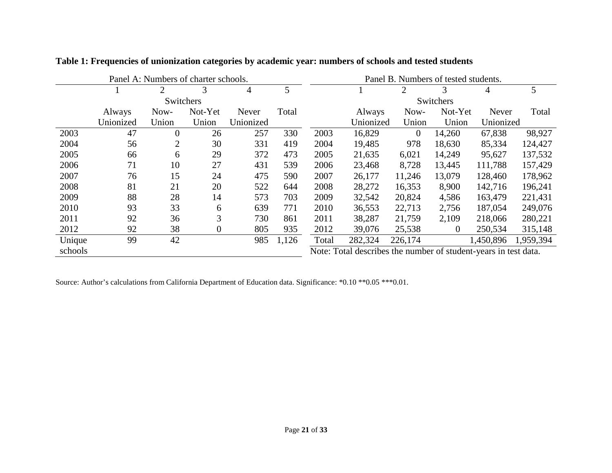| Panel A: Numbers of charter schools. |           |                  |                  | Panel B. Numbers of tested students. |       |       |                                                                 |          |          |           |           |
|--------------------------------------|-----------|------------------|------------------|--------------------------------------|-------|-------|-----------------------------------------------------------------|----------|----------|-----------|-----------|
|                                      |           | 2                | 3                | $\overline{4}$                       | 5     |       |                                                                 | 2        | 3        | 4         | 5         |
|                                      |           | Switchers        |                  |                                      |       |       | Switchers                                                       |          |          |           |           |
|                                      | Always    | Now-             | Not-Yet          | Never                                | Total |       | Always                                                          | Now-     | Not-Yet  | Never     | Total     |
|                                      | Unionized | Union            | Union            | Unionized                            |       |       | Unionized                                                       | Union    | Union    | Unionized |           |
| 2003                                 | 47        | $\boldsymbol{0}$ | 26               | 257                                  | 330   | 2003  | 16,829                                                          | $\theta$ | 14,260   | 67,838    | 98,927    |
| 2004                                 | 56        | 2                | 30               | 331                                  | 419   | 2004  | 19,485                                                          | 978      | 18,630   | 85,334    | 124,427   |
| 2005                                 | 66        | 6                | 29               | 372                                  | 473   | 2005  | 21,635                                                          | 6,021    | 14,249   | 95,627    | 137,532   |
| 2006                                 | 71        | 10               | 27               | 431                                  | 539   | 2006  | 23,468                                                          | 8,728    | 13,445   | 111,788   | 157,429   |
| 2007                                 | 76        | 15               | 24               | 475                                  | 590   | 2007  | 26,177                                                          | 11,246   | 13,079   | 128,460   | 178,962   |
| 2008                                 | 81        | 21               | 20               | 522                                  | 644   | 2008  | 28,272                                                          | 16,353   | 8,900    | 142,716   | 196,241   |
| 2009                                 | 88        | 28               | 14               | 573                                  | 703   | 2009  | 32,542                                                          | 20,824   | 4,586    | 163,479   | 221,431   |
| 2010                                 | 93        | 33               | 6                | 639                                  | 771   | 2010  | 36,553                                                          | 22,713   | 2,756    | 187,054   | 249,076   |
| 2011                                 | 92        | 36               | 3                | 730                                  | 861   | 2011  | 38,287                                                          | 21,759   | 2,109    | 218,066   | 280,221   |
| 2012                                 | 92        | 38               | $\boldsymbol{0}$ | 805                                  | 935   | 2012  | 39,076                                                          | 25,538   | $\Omega$ | 250,534   | 315,148   |
| Unique                               | 99        | 42               |                  | 985                                  | 1,126 | Total | 282,324                                                         | 226,174  |          | 1,450,896 | 1,959,394 |
| schools                              |           |                  |                  |                                      |       |       | Note: Total describes the number of student-years in test data. |          |          |           |           |

**Table 1: Frequencies of unionization categories by academic year: numbers of schools and tested students**

Source: Author's calculations from California Department of Education data. Significance: \*0.10 \*\*0.05 \*\*\*0.01.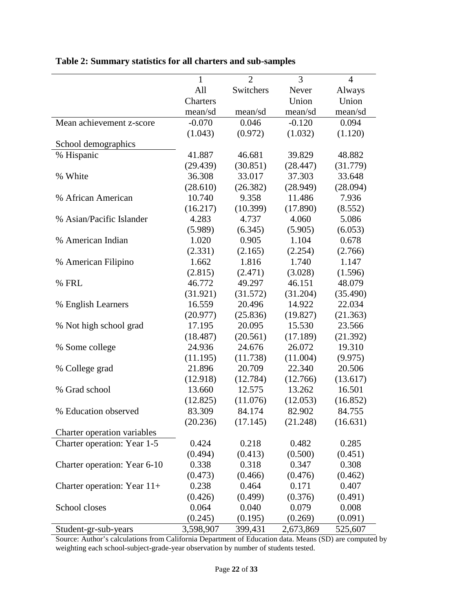|                               | 1         | $\overline{2}$ | 3         | $\overline{4}$ |
|-------------------------------|-----------|----------------|-----------|----------------|
|                               | All       | Switchers      | Never     | Always         |
|                               | Charters  |                | Union     | Union          |
|                               | mean/sd   | mean/sd        | mean/sd   | mean/sd        |
| Mean achievement z-score      | $-0.070$  | 0.046          | $-0.120$  | 0.094          |
|                               | (1.043)   | (0.972)        | (1.032)   | (1.120)        |
| School demographics           |           |                |           |                |
| % Hispanic                    | 41.887    | 46.681         | 39.829    | 48.882         |
|                               | (29.439)  | (30.851)       | (28.447)  | (31.779)       |
| % White                       | 36.308    | 33.017         | 37.303    | 33.648         |
|                               | (28.610)  | (26.382)       | (28.949)  | (28.094)       |
| % African American            | 10.740    | 9.358          | 11.486    | 7.936          |
|                               | (16.217)  | (10.399)       | (17.890)  | (8.552)        |
| % Asian/Pacific Islander      | 4.283     | 4.737          | 4.060     | 5.086          |
|                               | (5.989)   | (6.345)        | (5.905)   | (6.053)        |
| % American Indian             | 1.020     | 0.905          | 1.104     | 0.678          |
|                               | (2.331)   | (2.165)        | (2.254)   | (2.766)        |
| % American Filipino           | 1.662     | 1.816          | 1.740     | 1.147          |
|                               | (2.815)   | (2.471)        | (3.028)   | (1.596)        |
| % FRL                         | 46.772    | 49.297         | 46.151    | 48.079         |
|                               | (31.921)  | (31.572)       | (31.204)  | (35.490)       |
| % English Learners            | 16.559    | 20.496         | 14.922    | 22.034         |
|                               | (20.977)  | (25.836)       | (19.827)  | (21.363)       |
| % Not high school grad        | 17.195    | 20.095         | 15.530    | 23.566         |
|                               | (18.487)  | (20.561)       | (17.189)  | (21.392)       |
| % Some college                | 24.936    | 24.676         | 26.072    | 19.310         |
|                               | (11.195)  | (11.738)       | (11.004)  | (9.975)        |
| % College grad                | 21.896    | 20.709         | 22.340    | 20.506         |
|                               | (12.918)  | (12.784)       | (12.766)  | (13.617)       |
| % Grad school                 | 13.660    | 12.575         | 13.262    | 16.501         |
|                               | (12.825)  | (11.076)       | (12.053)  | (16.852)       |
| % Education observed          | 83.309    | 84.174         | 82.902    | 84.755         |
|                               | (20.236)  | (17.145)       | (21.248)  | (16.631)       |
| Charter operation variables   |           |                |           |                |
| Charter operation: Year 1-5   | 0.424     | 0.218          | 0.482     | 0.285          |
|                               | (0.494)   | (0.413)        | (0.500)   | (0.451)        |
| Charter operation: Year 6-10  | 0.338     | 0.318          | 0.347     | 0.308          |
|                               | (0.473)   | (0.466)        | (0.476)   | (0.462)        |
| Charter operation: Year $11+$ | 0.238     | 0.464          | 0.171     | 0.407          |
|                               | (0.426)   | (0.499)        | (0.376)   | (0.491)        |
| School closes                 | 0.064     | 0.040          | 0.079     | 0.008          |
|                               | (0.245)   | (0.195)        | (0.269)   | (0.091)        |
| Student-gr-sub-years          | 3,598,907 | 399,431        | 2,673,869 | 525,607        |

# **Table 2: Summary statistics for all charters and sub-samples**

Source: Author's calculations from California Department of Education data. Means (SD) are computed by weighting each school-subject-grade-year observation by number of students tested.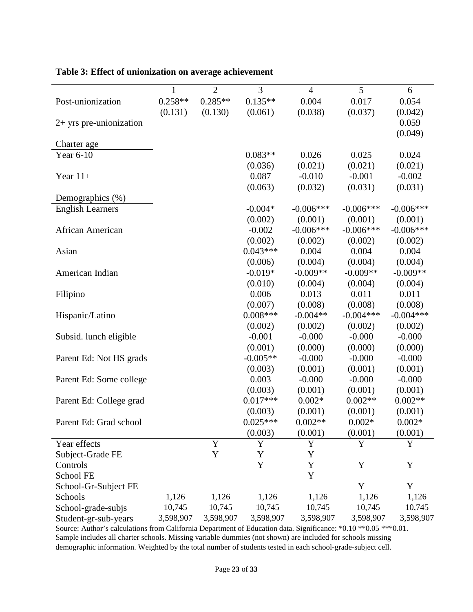|                           | $\mathbf{1}$ | $\overline{2}$ | $\overline{3}$ | $\overline{4}$ | $\overline{5}$ | 6           |
|---------------------------|--------------|----------------|----------------|----------------|----------------|-------------|
| Post-unionization         | $0.258**$    | $0.285**$      | $0.135**$      | 0.004          | 0.017          | 0.054       |
|                           | (0.131)      | (0.130)        | (0.061)        | (0.038)        | (0.037)        | (0.042)     |
| $2+$ yrs pre-unionization |              |                |                |                |                | 0.059       |
|                           |              |                |                |                |                | (0.049)     |
| Charter age               |              |                |                |                |                |             |
| Year 6-10                 |              |                | $0.083**$      | 0.026          | 0.025          | 0.024       |
|                           |              |                | (0.036)        | (0.021)        | (0.021)        | (0.021)     |
| Year $11+$                |              |                | 0.087          | $-0.010$       | $-0.001$       | $-0.002$    |
|                           |              |                | (0.063)        | (0.032)        | (0.031)        | (0.031)     |
| Demographics (%)          |              |                |                |                |                |             |
| <b>English Learners</b>   |              |                | $-0.004*$      | $-0.006***$    | $-0.006***$    | $-0.006***$ |
|                           |              |                | (0.002)        | (0.001)        | (0.001)        | (0.001)     |
| African American          |              |                | $-0.002$       | $-0.006***$    | $-0.006***$    | $-0.006***$ |
|                           |              |                | (0.002)        | (0.002)        | (0.002)        | (0.002)     |
| Asian                     |              |                | $0.043***$     | 0.004          | 0.004          | 0.004       |
|                           |              |                | (0.006)        | (0.004)        | (0.004)        | (0.004)     |
| American Indian           |              |                | $-0.019*$      | $-0.009**$     | $-0.009**$     | $-0.009**$  |
|                           |              |                | (0.010)        | (0.004)        | (0.004)        | (0.004)     |
| Filipino                  |              |                | 0.006          | 0.013          | 0.011          | 0.011       |
|                           |              |                | (0.007)        | (0.008)        | (0.008)        | (0.008)     |
| Hispanic/Latino           |              |                | $0.008***$     | $-0.004**$     | $-0.004***$    | $-0.004***$ |
|                           |              |                | (0.002)        | (0.002)        | (0.002)        | (0.002)     |
| Subsid. lunch eligible    |              |                | $-0.001$       | $-0.000$       | $-0.000$       | $-0.000$    |
|                           |              |                | (0.001)        | (0.000)        | (0.000)        | (0.000)     |
| Parent Ed: Not HS grads   |              |                | $-0.005**$     | $-0.000$       | $-0.000$       | $-0.000$    |
|                           |              |                | (0.003)        | (0.001)        | (0.001)        | (0.001)     |
| Parent Ed: Some college   |              |                | 0.003          | $-0.000$       | $-0.000$       | $-0.000$    |
|                           |              |                | (0.003)        | (0.001)        | (0.001)        | (0.001)     |
| Parent Ed: College grad   |              |                | $0.017***$     | $0.002*$       | $0.002**$      | $0.002**$   |
|                           |              |                | (0.003)        | (0.001)        | (0.001)        | (0.001)     |
| Parent Ed: Grad school    |              |                | $0.025***$     | $0.002**$      | $0.002*$       | $0.002*$    |
|                           |              |                | (0.003)        | (0.001)        | (0.001)        | (0.001)     |
| Year effects              |              | Y              | Y              | $\mathbf Y$    | Y              | Y           |
| Subject-Grade FE          |              | $\mathbf Y$    | Y              | Y              |                |             |
| Controls                  |              |                | $\mathbf Y$    | $\mathbf Y$    | $\mathbf Y$    | Y           |
| School FE                 |              |                |                | $\mathbf Y$    |                |             |
| School-Gr-Subject FE      |              |                |                |                | Y              | Y           |
| Schools                   | 1,126        | 1,126          | 1,126          | 1,126          | 1,126          | 1,126       |
| School-grade-subjs        | 10,745       | 10,745         | 10,745         | 10,745         | 10,745         | 10,745      |
| Student-gr-sub-years      | 3,598,907    | 3,598,907      | 3,598,907      | 3,598,907      | 3,598,907      | 3,598,907   |

#### **Table 3: Effect of unionization on average achievement**

Source: Author's calculations from California Department of Education data. Significance: \*0.10 \*\*0.05 \*\*\*0.01. Sample includes all charter schools. Missing variable dummies (not shown) are included for schools missing demographic information. Weighted by the total number of students tested in each school-grade-subject cell.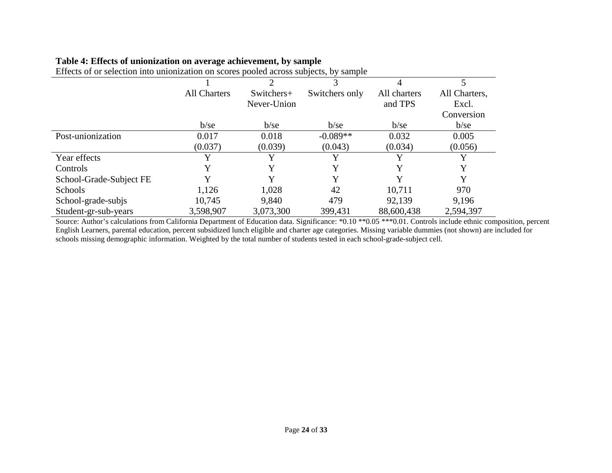| Effects of or selection into unionization on scores pooled across subjects, by sample |                     |             |                |              |               |
|---------------------------------------------------------------------------------------|---------------------|-------------|----------------|--------------|---------------|
|                                                                                       |                     |             |                |              |               |
|                                                                                       | <b>All Charters</b> | Switchers+  | Switchers only | All charters | All Charters, |
|                                                                                       |                     | Never-Union |                | and TPS      | Excl.         |
|                                                                                       |                     |             |                |              | Conversion    |
|                                                                                       | $b$ /se             | $b$ /se     | $b$ /se        | $b$ /se      | $b$ /se       |
| Post-unionization                                                                     | 0.017               | 0.018       | $-0.089**$     | 0.032        | 0.005         |
|                                                                                       | (0.037)             | (0.039)     | (0.043)        | (0.034)      | (0.056)       |
| Year effects                                                                          | V                   |             |                |              |               |
| Controls                                                                              |                     |             |                |              |               |
| School-Grade-Subject FE                                                               |                     |             |                |              |               |
| Schools                                                                               | 1,126               | 1,028       | 42             | 10,711       | 970           |

School-grade-subjs 10,745 9,840 479 92,139 9,196 Student-gr-sub-years 3,598,907 3,073,300 399,431 88,600,438 2,594,397

#### **Table 4: Effects of unionization on average achievement, by sample**

Source: Author's calculations from California Department of Education data. Significance: \*0.10 \*\*0.05 \*\*\*0.01. Controls include ethnic composition, percent English Learners, parental education, percent subsidized lunch eligible and charter age categories. Missing variable dummies (not shown) are included for schools missing demographic information. Weighted by the total number of students tested in each school-grade-subject cell.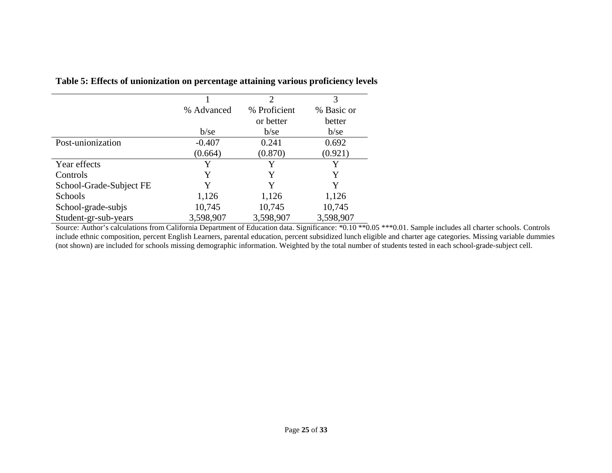|                         |            | $\mathcal{D}_{\mathcal{L}}$ | 3          |
|-------------------------|------------|-----------------------------|------------|
|                         | % Advanced | % Proficient                | % Basic or |
|                         |            | or better                   | better     |
|                         | $b$ /se    | $b$ /se                     | $b$ /se    |
| Post-unionization       | $-0.407$   | 0.241                       | 0.692      |
|                         | (0.664)    | (0.870)                     | (0.921)    |
| Year effects            | Y          | Y                           | Y          |
| Controls                | Y          | Y                           | Y          |
| School-Grade-Subject FE | Y          | Y                           | Y          |
| <b>Schools</b>          | 1,126      | 1,126                       | 1,126      |
| School-grade-subjs      | 10,745     | 10,745                      | 10,745     |
| Student-gr-sub-years    | 3,598,907  | 3,598,907                   | 3,598,907  |

**Table 5: Effects of unionization on percentage attaining various proficiency levels**

Source: Author's calculations from California Department of Education data. Significance: \*0.10 \*\*0.05 \*\*\*0.01. Sample includes all charter schools. Controls include ethnic composition, percent English Learners, parental education, percent subsidized lunch eligible and charter age categories. Missing variable dummies (not shown) are included for schools missing demographic information. Weighted by the total number of students tested in each school-grade-subject cell.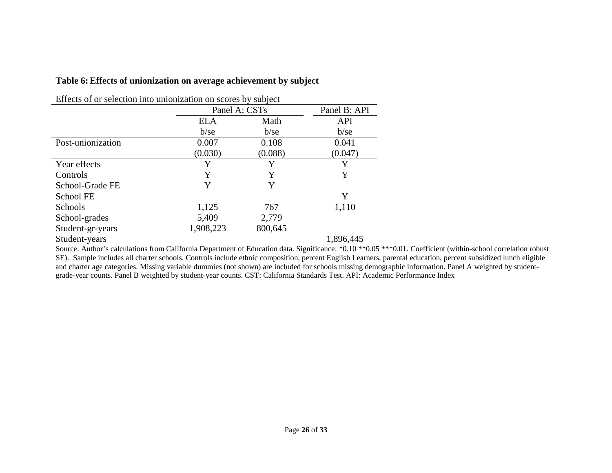#### **Table 6: Effects of unionization on average achievement by subject**

|                   |            | Panel A: CSTs |            |  |
|-------------------|------------|---------------|------------|--|
|                   | <b>ELA</b> | Math          | <b>API</b> |  |
|                   | $b$ /se    | $b$ /se       | $b$ /se    |  |
| Post-unionization | 0.007      | 0.108         | 0.041      |  |
|                   | (0.030)    | (0.088)       | (0.047)    |  |
| Year effects      | Y          | Y             | Y          |  |
| Controls          | Y          | Y             | Y          |  |
| School-Grade FE   | Y          | Y             |            |  |
| School FE         |            |               | Y          |  |
| <b>Schools</b>    | 1,125      | 767           | 1,110      |  |
| School-grades     | 5,409      | 2,779         |            |  |
| Student-gr-years  | 1,908,223  | 800,645       |            |  |
| Student-years     |            |               | 1,896,445  |  |

Effects of or selection into unionization on scores by subject

Source: Author's calculations from California Department of Education data. Significance: \*0.10 \*\*0.05 \*\*\*0.01. Coefficient (within-school correlation robust SE). Sample includes all charter schools. Controls include ethnic composition, percent English Learners, parental education, percent subsidized lunch eligible and charter age categories. Missing variable dummies (not shown) are included for schools missing demographic information. Panel A weighted by studentgrade-year counts. Panel B weighted by student-year counts. CST: California Standards Test. API: Academic Performance Index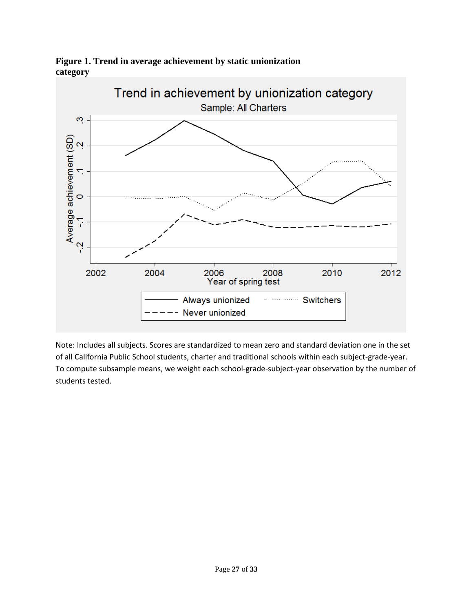

**Figure 1. Trend in average achievement by static unionization category**

Note: Includes all subjects. Scores are standardized to mean zero and standard deviation one in the set of all California Public School students, charter and traditional schools within each subject-grade-year. To compute subsample means, we weight each school-grade-subject-year observation by the number of students tested.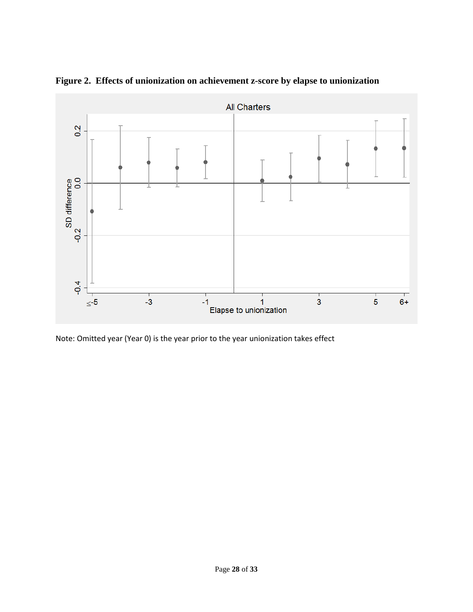

**Figure 2. Effects of unionization on achievement z-score by elapse to unionization**

Note: Omitted year (Year 0) is the year prior to the year unionization takes effect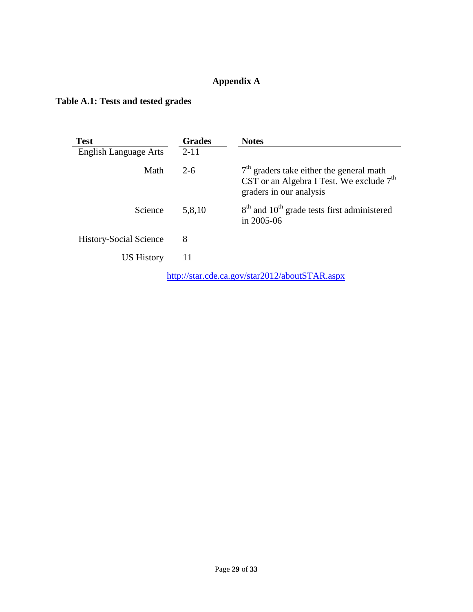### **Appendix A**

### **Table A.1: Tests and tested grades**

| <b>Test</b>                                    | <b>Grades</b> | <b>Notes</b>                                                                                                        |  |  |  |
|------------------------------------------------|---------------|---------------------------------------------------------------------------------------------------------------------|--|--|--|
| <b>English Language Arts</b>                   | $2 - 11$      |                                                                                                                     |  |  |  |
| Math                                           | $2 - 6$       | $7th$ graders take either the general math<br>CST or an Algebra I Test. We exclude $7th$<br>graders in our analysis |  |  |  |
| Science                                        | 5,8,10        | 8 <sup>th</sup> and 10 <sup>th</sup> grade tests first administered<br>in 2005-06                                   |  |  |  |
| <b>History-Social Science</b>                  | 8             |                                                                                                                     |  |  |  |
| <b>US History</b>                              | 11            |                                                                                                                     |  |  |  |
| http://star.cde.ca.gov/star2012/aboutSTAR.aspx |               |                                                                                                                     |  |  |  |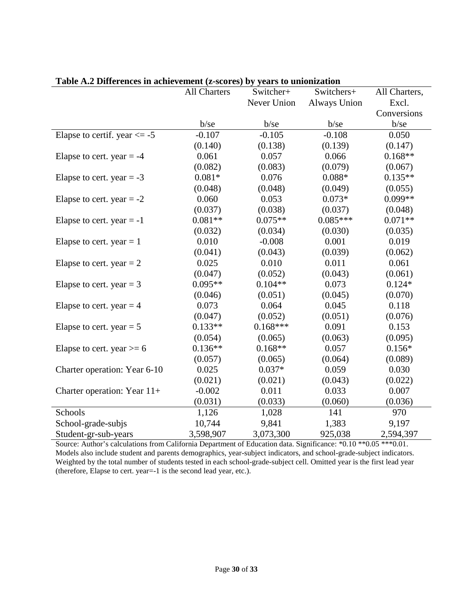|                                 | <b>All Charters</b> | Switcher+   | Switchers+          | All Charters, |
|---------------------------------|---------------------|-------------|---------------------|---------------|
|                                 |                     | Never Union | <b>Always Union</b> | Excl.         |
|                                 |                     |             |                     | Conversions   |
|                                 | $b$ /se             | $b$ /se     | $b$ /se             | b/se          |
| Elapse to certif. year $\le$ -5 | $-0.107$            | $-0.105$    | $-0.108$            | 0.050         |
|                                 | (0.140)             | (0.138)     | (0.139)             | (0.147)       |
| Elapse to cert. year $= -4$     | 0.061               | 0.057       | 0.066               | $0.168**$     |
|                                 | (0.082)             | (0.083)     | (0.079)             | (0.067)       |
| Elapse to cert. year $= -3$     | $0.081*$            | 0.076       | $0.088*$            | $0.135**$     |
|                                 | (0.048)             | (0.048)     | (0.049)             | (0.055)       |
| Elapse to cert. year $= -2$     | 0.060               | 0.053       | $0.073*$            | $0.099**$     |
|                                 | (0.037)             | (0.038)     | (0.037)             | (0.048)       |
| Elapse to cert. year $= -1$     | $0.081**$           | $0.075**$   | $0.085***$          | $0.071**$     |
|                                 | (0.032)             | (0.034)     | (0.030)             | (0.035)       |
| Elapse to cert. year $= 1$      | 0.010               | $-0.008$    | 0.001               | 0.019         |
|                                 | (0.041)             | (0.043)     | (0.039)             | (0.062)       |
| Elapse to cert. year $= 2$      | 0.025               | 0.010       | 0.011               | 0.061         |
|                                 | (0.047)             | (0.052)     | (0.043)             | (0.061)       |
| Elapse to cert. year = $3$      | $0.095**$           | $0.104**$   | 0.073               | $0.124*$      |
|                                 | (0.046)             | (0.051)     | (0.045)             | (0.070)       |
| Elapse to cert. year $=$ 4      | 0.073               | 0.064       | 0.045               | 0.118         |
|                                 | (0.047)             | (0.052)     | (0.051)             | (0.076)       |
| Elapse to cert. year $= 5$      | $0.133**$           | $0.168***$  | 0.091               | 0.153         |
|                                 | (0.054)             | (0.065)     | (0.063)             | (0.095)       |
| Elapse to cert. year $>= 6$     | $0.136**$           | $0.168**$   | 0.057               | $0.156*$      |
|                                 | (0.057)             | (0.065)     | (0.064)             | (0.089)       |
| Charter operation: Year 6-10    | 0.025               | $0.037*$    | 0.059               | 0.030         |
|                                 | (0.021)             | (0.021)     | (0.043)             | (0.022)       |
| Charter operation: Year 11+     | $-0.002$            | 0.011       | 0.033               | 0.007         |
|                                 | (0.031)             | (0.033)     | (0.060)             | (0.036)       |
| Schools                         | 1,126               | 1,028       | 141                 | 970           |
| School-grade-subjs              | 10,744              | 9,841       | 1,383               | 9,197         |
| Student-gr-sub-years            | 3,598,907           | 3,073,300   | 925,038             | 2,594,397     |

**Table A.2 Differences in achievement (z-scores) by years to unionization**

Source: Author's calculations from California Department of Education data. Significance: \*0.10 \*\*0.05 \*\*\*0.01. Models also include student and parents demographics, year-subject indicators, and school-grade-subject indicators. Weighted by the total number of students tested in each school-grade-subject cell. Omitted year is the first lead year (therefore, Elapse to cert. year=-1 is the second lead year, etc.).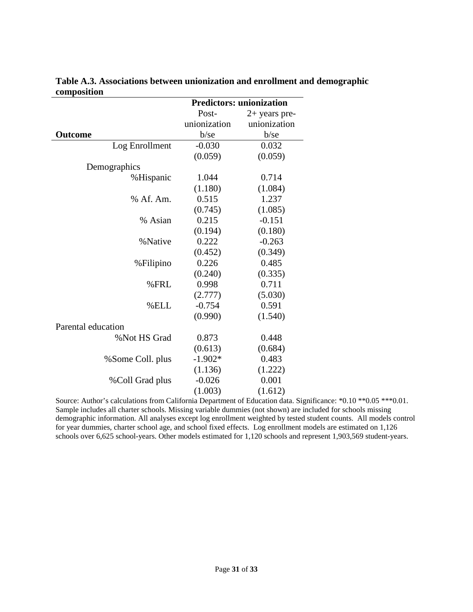|                    | <b>Predictors: unionization</b> |                 |  |
|--------------------|---------------------------------|-----------------|--|
|                    | Post-                           | $2+$ years pre- |  |
|                    | unionization                    | unionization    |  |
| <b>Outcome</b>     | $b$ /se                         | $b$ /se         |  |
| Log Enrollment     | $-0.030$                        | 0.032           |  |
|                    | (0.059)                         | (0.059)         |  |
| Demographics       |                                 |                 |  |
| %Hispanic          | 1.044                           | 0.714           |  |
|                    | (1.180)                         | (1.084)         |  |
| % Af. Am.          | 0.515                           | 1.237           |  |
|                    | (0.745)                         | (1.085)         |  |
| % Asian            | 0.215                           | $-0.151$        |  |
|                    | (0.194)                         | (0.180)         |  |
| %Native            | 0.222                           | $-0.263$        |  |
|                    | (0.452)                         | (0.349)         |  |
| %Filipino          | 0.226                           | 0.485           |  |
|                    | (0.240)                         | (0.335)         |  |
| %FRL               | 0.998                           | 0.711           |  |
|                    | (2.777)                         | (5.030)         |  |
| %ELL               | $-0.754$                        | 0.591           |  |
|                    | (0.990)                         | (1.540)         |  |
| Parental education |                                 |                 |  |
| %Not HS Grad       | 0.873                           | 0.448           |  |
|                    | (0.613)                         | (0.684)         |  |
| %Some Coll. plus   | $-1.902*$                       | 0.483           |  |
|                    | (1.136)                         | (1.222)         |  |
| %Coll Grad plus    | $-0.026$                        | 0.001           |  |
|                    | (1.003)                         | (1.612)         |  |

**Table A.3. Associations between unionization and enrollment and demographic composition** 

Source: Author's calculations from California Department of Education data. Significance: \*0.10 \*\*0.05 \*\*\*0.01. Sample includes all charter schools. Missing variable dummies (not shown) are included for schools missing demographic information. All analyses except log enrollment weighted by tested student counts. All models control for year dummies, charter school age, and school fixed effects. Log enrollment models are estimated on 1,126 schools over 6,625 school-years. Other models estimated for 1,120 schools and represent 1,903,569 student-years.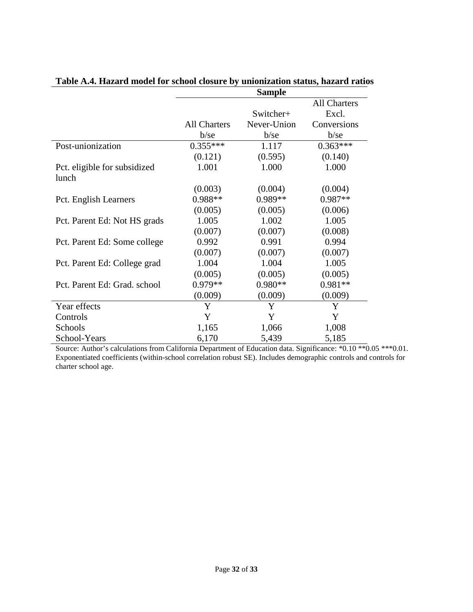|                                       |                     | <b>Sample</b> |                     |
|---------------------------------------|---------------------|---------------|---------------------|
|                                       |                     |               | <b>All Charters</b> |
|                                       |                     | Switcher+     | Excl.               |
|                                       | <b>All Charters</b> | Never-Union   | Conversions         |
|                                       | $b$ /se             | $b$ /se       | $b$ /se             |
| Post-unionization                     | $0.355***$          | 1.117         | $0.363***$          |
|                                       | (0.121)             | (0.595)       | (0.140)             |
| Pct. eligible for subsidized<br>lunch | 1.001               | 1.000         | 1.000               |
|                                       | (0.003)             | (0.004)       | (0.004)             |
| Pct. English Learners                 | 0.988**             | $0.989**$     | $0.987**$           |
|                                       | (0.005)             | (0.005)       | (0.006)             |
| Pct. Parent Ed: Not HS grads          | 1.005               | 1.002         | 1.005               |
|                                       | (0.007)             | (0.007)       | (0.008)             |
| Pct. Parent Ed: Some college          | 0.992               | 0.991         | 0.994               |
|                                       | (0.007)             | (0.007)       | (0.007)             |
| Pct. Parent Ed: College grad          | 1.004               | 1.004         | 1.005               |
|                                       | (0.005)             | (0.005)       | (0.005)             |
| Pct. Parent Ed: Grad. school          | 0.979**             | 0.980**       | 0.981**             |
|                                       | (0.009)             | (0.009)       | (0.009)             |
| Year effects                          | Y                   | Y             | Y                   |
| Controls                              | Y                   | Y             | Y                   |
| Schools                               | 1,165               | 1,066         | 1,008               |
| School-Years                          | 6,170               | 5,439         | 5,185               |

# **Table A.4. Hazard model for school closure by unionization status, hazard ratios**

Source: Author's calculations from California Department of Education data. Significance: \*0.10 \*\*0.05 \*\*\*0.01. Exponentiated coefficients (within-school correlation robust SE). Includes demographic controls and controls for charter school age.